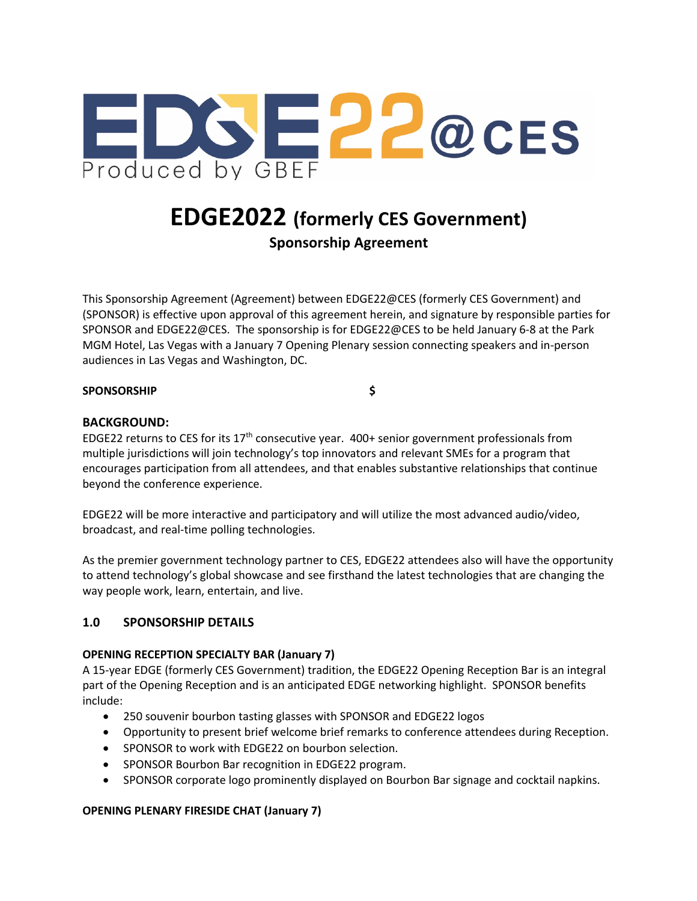

# **EDGE2022 (formerly CES Government)**

**Sponsorship Agreement**

This Sponsorship Agreement (Agreement) between EDGE22@CES (formerly CES Government) and (SPONSOR) is effective upon approval of this agreement herein, and signature by responsible parties for SPONSOR and EDGE22@CES. The sponsorship is for EDGE22@CES to be held January 6-8 at the Park MGM Hotel, Las Vegas with a January 7 Opening Plenary session connecting speakers and in-person audiences in Las Vegas and Washington, DC.

#### **SPONSORSHIP \$**

## **BACKGROUND:**

EDGE22 returns to CES for its 17<sup>th</sup> consecutive year. 400+ senior government professionals from multiple jurisdictions will join technology's top innovators and relevant SMEs for a program that encourages participation from all attendees, and that enables substantive relationships that continue beyond the conference experience.

EDGE22 will be more interactive and participatory and will utilize the most advanced audio/video, broadcast, and real-time polling technologies.

As the premier government technology partner to CES, EDGE22 attendees also will have the opportunity to attend technology's global showcase and see firsthand the latest technologies that are changing the way people work, learn, entertain, and live.

#### **1.0 SPONSORSHIP DETAILS**

#### **OPENING RECEPTION SPECIALTY BAR (January 7)**

A 15-year EDGE (formerly CES Government) tradition, the EDGE22 Opening Reception Bar is an integral part of the Opening Reception and is an anticipated EDGE networking highlight. SPONSOR benefits include:

- 250 souvenir bourbon tasting glasses with SPONSOR and EDGE22 logos
- Opportunity to present brief welcome brief remarks to conference attendees during Reception.
- SPONSOR to work with EDGE22 on bourbon selection.
- SPONSOR Bourbon Bar recognition in EDGE22 program.
- SPONSOR corporate logo prominently displayed on Bourbon Bar signage and cocktail napkins.

#### **OPENING PLENARY FIRESIDE CHAT (January 7)**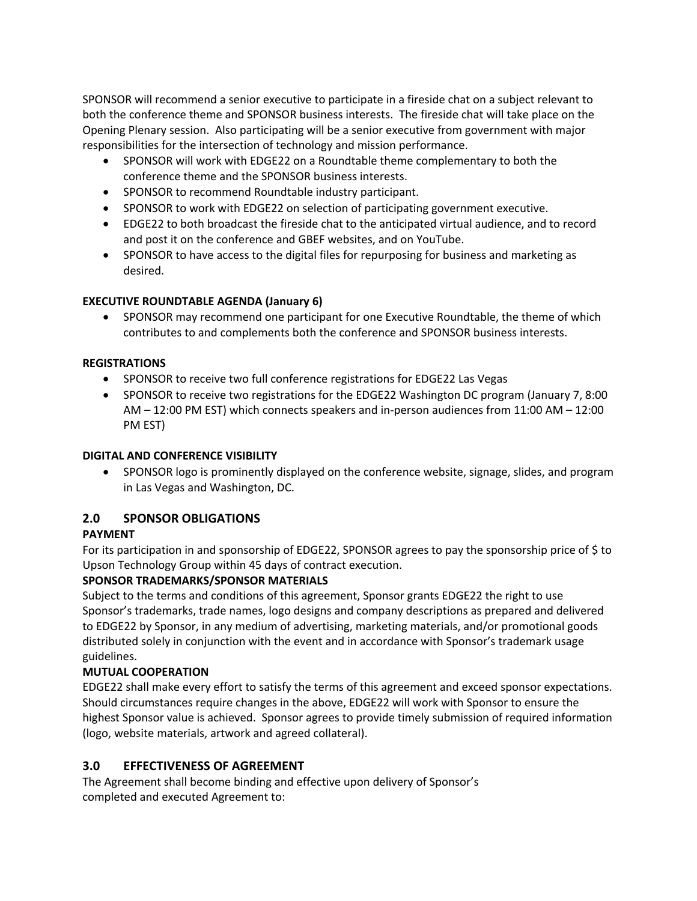SPONSOR will recommend a senior executive to participate in a fireside chat on a subject relevant to both the conference theme and SPONSOR business interests. The fireside chat will take place on the Opening Plenary session. Also participating will be a senior executive from government with major responsibilities for the intersection of technology and mission performance.

- SPONSOR will work with EDGE22 on a Roundtable theme complementary to both the conference theme and the SPONSOR business interests.
- SPONSOR to recommend Roundtable industry participant.
- SPONSOR to work with EDGE22 on selection of participating government executive.
- EDGE22 to both broadcast the fireside chat to the anticipated virtual audience, and to record and post it on the conference and GBEF websites, and on YouTube.
- SPONSOR to have access to the digital files for repurposing for business and marketing as desired.

## **EXECUTIVE ROUNDTABLE AGENDA (January 6)**

• SPONSOR may recommend one participant for one Executive Roundtable, the theme of which contributes to and complements both the conference and SPONSOR business interests.

#### **REGISTRATIONS**

- SPONSOR to receive two full conference registrations for EDGE22 Las Vegas
- SPONSOR to receive two registrations for the EDGE22 Washington DC program (January 7, 8:00 AM – 12:00 PM EST) which connects speakers and in-person audiences from 11:00 AM – 12:00 PM EST)

#### **DIGITAL AND CONFERENCE VISIBILITY**

• SPONSOR logo is prominently displayed on the conference website, signage, slides, and program in Las Vegas and Washington, DC.

## **2.0 SPONSOR OBLIGATIONS**

## **PAYMENT**

For its participation in and sponsorship of EDGE22, SPONSOR agrees to pay the sponsorship price of \$ to Upson Technology Group within 45 days of contract execution.

## **SPONSOR TRADEMARKS/SPONSOR MATERIALS**

Subject to the terms and conditions of this agreement, Sponsor grants EDGE22 the right to use Sponsor's trademarks, trade names, logo designs and company descriptions as prepared and delivered to EDGE22 by Sponsor, in any medium of advertising, marketing materials, and/or promotional goods distributed solely in conjunction with the event and in accordance with Sponsor's trademark usage guidelines.

## **MUTUAL COOPERATION**

EDGE22 shall make every effort to satisfy the terms of this agreement and exceed sponsor expectations. Should circumstances require changes in the above, EDGE22 will work with Sponsor to ensure the highest Sponsor value is achieved. Sponsor agrees to provide timely submission of required information (logo, website materials, artwork and agreed collateral).

## **3.0 EFFECTIVENESS OF AGREEMENT**

The Agreement shall become binding and effective upon delivery of Sponsor's completed and executed Agreement to: